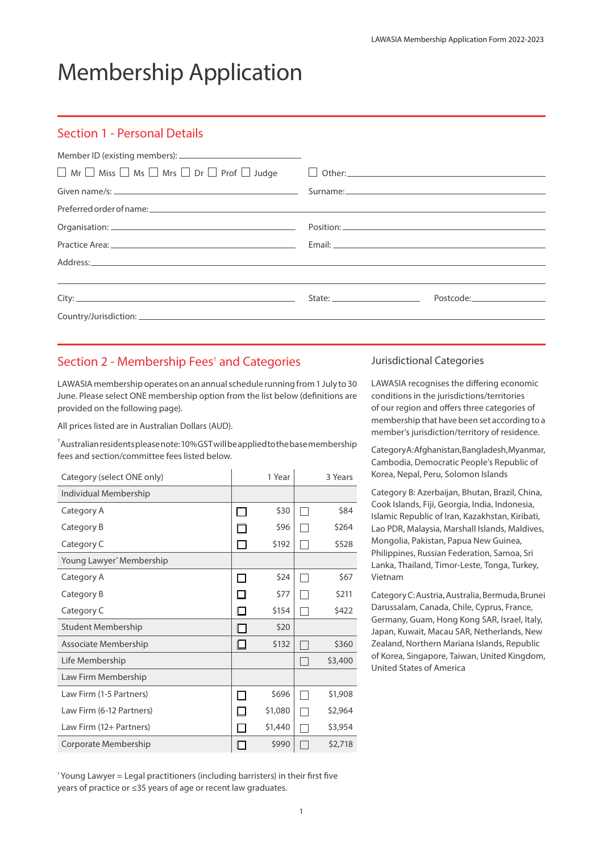# Membership Application

### Section 1 - Personal Details

| $\Box$ Mr $\Box$ Miss $\Box$ Ms $\Box$ Mrs $\Box$ Dr $\Box$ Prof $\Box$ Judge $\Box$ Other:                           |                                                                                                                |
|-----------------------------------------------------------------------------------------------------------------------|----------------------------------------------------------------------------------------------------------------|
|                                                                                                                       |                                                                                                                |
|                                                                                                                       |                                                                                                                |
|                                                                                                                       |                                                                                                                |
|                                                                                                                       |                                                                                                                |
|                                                                                                                       |                                                                                                                |
| <u> Alexandro de la contrada de la contrada de la contrada de la contrada de la contrada de la contrada de la con</u> |                                                                                                                |
|                                                                                                                       | State: National Contract Postcode: National Postcode: National Contract Contract Contract Contract Contract Co |
|                                                                                                                       |                                                                                                                |

## Section 2 - Membership Fees<sup>+</sup> and Categories

LAWASIA membership operates on an annual schedule running from 1 July to 30 June. Please select ONE membership option from the list below (definitions are provided on the following page).

All prices listed are in Australian Dollars (AUD).

† Australian residents please note: 10% GST will be applied to the base membership fees and section/committee fees listed below.

| Category (select ONE only) |        | 1 Year  | 3 Years |
|----------------------------|--------|---------|---------|
| Individual Membership      |        |         |         |
| Category A                 |        | \$30    | \$84    |
| Category B                 |        | \$96    | \$264   |
| Category C                 | $\sim$ | \$192   | \$528   |
| Young Lawyer* Membership   |        |         |         |
| Category A                 | П      | \$24    | \$67    |
| Category B                 |        | \$77    | \$211   |
| Category C                 |        | \$154   | \$422   |
| <b>Student Membership</b>  | í.     | \$20    |         |
| Associate Membership       | I I    | \$132   | \$360   |
| Life Membership            |        |         | \$3,400 |
| Law Firm Membership        |        |         |         |
| Law Firm (1-5 Partners)    |        | \$696   | \$1,908 |
| Law Firm (6-12 Partners)   |        | \$1,080 | \$2,964 |
| Law Firm (12+ Partners)    |        | \$1,440 | \$3,954 |
| Corporate Membership       |        | \$990   | \$2,718 |

#### Jurisdictional Categories

LAWASIA recognises the differing economic conditions in the jurisdictions/territories of our region and offers three categories of membership that have been set according to a member's jurisdiction/territory of residence.

Category A: Afghanistan, Bangladesh, Myanmar, Cambodia, Democratic People's Republic of Korea, Nepal, Peru, Solomon Islands

Category B: Azerbaijan, Bhutan, Brazil, China, Cook Islands, Fiji, Georgia, India, Indonesia, Islamic Republic of Iran, Kazakhstan, Kiribati, Lao PDR, Malaysia, Marshall Islands, Maldives, Mongolia, Pakistan, Papua New Guinea, Philippines, Russian Federation, Samoa, Sri Lanka, Thailand, Timor-Leste, Tonga, Turkey, Vietnam

Category C: Austria, Australia, Bermuda, Brunei Darussalam, Canada, Chile, Cyprus, France, Germany, Guam, Hong Kong SAR, Israel, Italy, Japan, Kuwait, Macau SAR, Netherlands, New Zealand, Northern Mariana Islands, Republic of Korea, Singapore, Taiwan, United Kingdom, United States of America

\* Young Lawyer = Legal practitioners (including barristers) in their first five years of practice or ≤35 years of age or recent law graduates.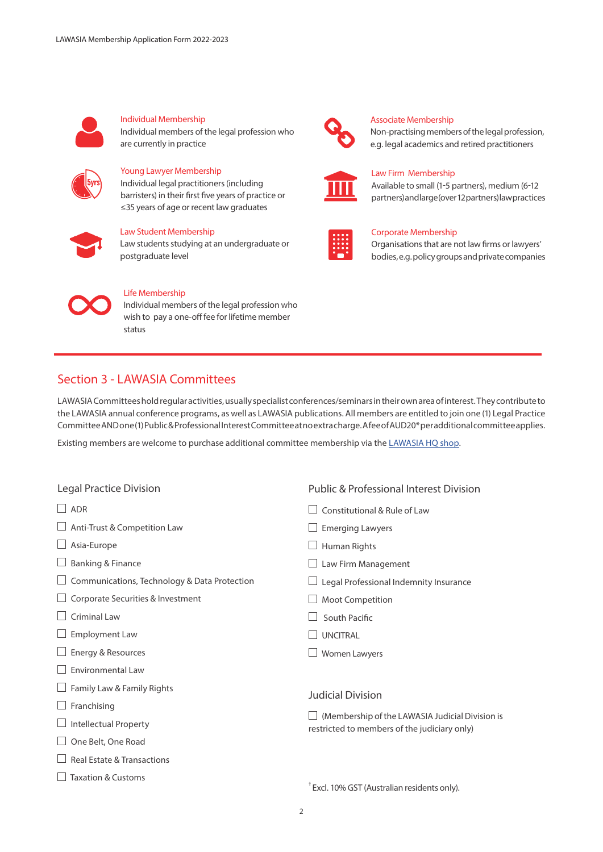

## Individual Membership

Individual members of the legal profession who are currently in practice



#### Young Lawyer Membership

Individual legal practitioners (including barristers) in their first five years of practice or ≤35 years of age or recent law graduates



#### Law Student Membership

Law students studying at an undergraduate or postgraduate level



#### Life Membership

Individual members of the legal profession who wish to pay a one-off fee for lifetime member status

## Section 3 - LAWASIA Committees

LAWASIA Committees hold regular activities, usually specialist conferences/seminars in their own area of interest. They contribute to the LAWASIA annual conference programs, as well as LAWASIA publications. All members are entitled to join one (1) Legal Practice Committee AND one (1) Public & Professional Interest Committee at no extra charge. A fee of AUD20\* per additional committee applies.

Existing members are welcome to purchase additional committee membership via the [LAWASIA HQ shop](https://members.lawasia.asn.au/public/shop/products).

| Legal Practice Division                      | <b>Public &amp; Professional Interest Division</b>                                              |  |  |
|----------------------------------------------|-------------------------------------------------------------------------------------------------|--|--|
| $\overline{ADR}$                             | Constitutional & Rule of Law                                                                    |  |  |
| Anti-Trust & Competition Law                 | <b>Emerging Lawyers</b>                                                                         |  |  |
| Asia-Europe                                  | Human Rights                                                                                    |  |  |
| <b>Banking &amp; Finance</b>                 | Law Firm Management                                                                             |  |  |
| Communications, Technology & Data Protection | Legal Professional Indemnity Insurance                                                          |  |  |
| Corporate Securities & Investment            | Moot Competition                                                                                |  |  |
| Criminal Law                                 | South Pacific                                                                                   |  |  |
| <b>Employment Law</b>                        | <b>UNCITRAL</b>                                                                                 |  |  |
| Energy & Resources                           | Women Lawyers                                                                                   |  |  |
| Environmental Law                            |                                                                                                 |  |  |
| Family Law & Family Rights                   | <b>Judicial Division</b>                                                                        |  |  |
| Franchising                                  | (Membership of the LAWASIA Judicial Division is<br>restricted to members of the judiciary only) |  |  |
| <b>Intellectual Property</b>                 |                                                                                                 |  |  |
| One Belt, One Road                           |                                                                                                 |  |  |
| <b>Real Estate &amp; Transactions</b>        |                                                                                                 |  |  |
| <b>Taxation &amp; Customs</b>                | <sup>†</sup> Excl. 10% GST (Australian residents only).                                         |  |  |



#### Associate Membership

Non-practising members of the legal profession, e.g. legal academics and retired practitioners



#### Law Firm Membership

Available to small (1-5 partners), medium (6-12 partners) and large (over 12 partners) law practices



#### Corporate Membership

Organisations that are not law firms or lawyers' bodies, e.g. policy groups and private companies